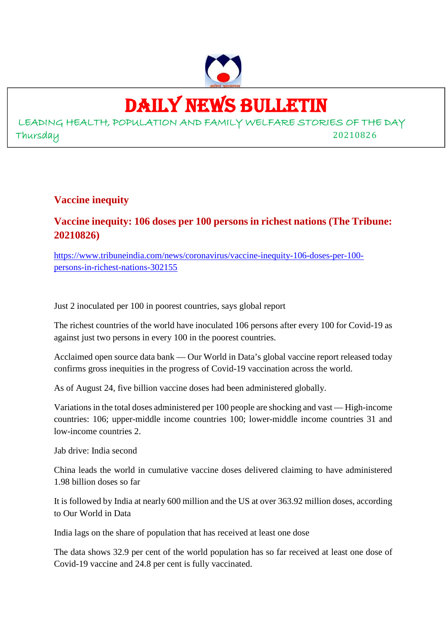

# DAILY NEWS BULLETIN

LEADING HEALTH, POPULATION AND FAMILY WELFARE STORIES OF THE DAY Thursday 20210826

**Vaccine inequity**

# **Vaccine inequity: 106 doses per 100 persons in richest nations (The Tribune: 20210826)**

https://www.tribuneindia.com/news/coronavirus/vaccine-inequity-106-doses-per-100 persons-in-richest-nations-302155

Just 2 inoculated per 100 in poorest countries, says global report

The richest countries of the world have inoculated 106 persons after every 100 for Covid-19 as against just two persons in every 100 in the poorest countries.

Acclaimed open source data bank — Our World in Data's global vaccine report released today confirms gross inequities in the progress of Covid-19 vaccination across the world.

As of August 24, five billion vaccine doses had been administered globally.

Variations in the total doses administered per 100 people are shocking and vast — High-income countries: 106; upper-middle income countries 100; lower-middle income countries 31 and low-income countries 2.

Jab drive: India second

China leads the world in cumulative vaccine doses delivered claiming to have administered 1.98 billion doses so far

It is followed by India at nearly 600 million and the US at over 363.92 million doses, according to Our World in Data

India lags on the share of population that has received at least one dose

The data shows 32.9 per cent of the world population has so far received at least one dose of Covid-19 vaccine and 24.8 per cent is fully vaccinated.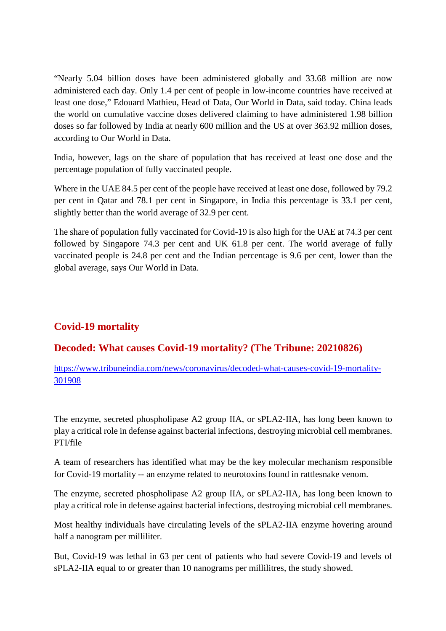"Nearly 5.04 billion doses have been administered globally and 33.68 million are now administered each day. Only 1.4 per cent of people in low-income countries have received at least one dose," Edouard Mathieu, Head of Data, Our World in Data, said today. China leads the world on cumulative vaccine doses delivered claiming to have administered 1.98 billion doses so far followed by India at nearly 600 million and the US at over 363.92 million doses, according to Our World in Data.

India, however, lags on the share of population that has received at least one dose and the percentage population of fully vaccinated people.

Where in the UAE 84.5 per cent of the people have received at least one dose, followed by 79.2 per cent in Qatar and 78.1 per cent in Singapore, in India this percentage is 33.1 per cent, slightly better than the world average of 32.9 per cent.

The share of population fully vaccinated for Covid-19 is also high for the UAE at 74.3 per cent followed by Singapore 74.3 per cent and UK 61.8 per cent. The world average of fully vaccinated people is 24.8 per cent and the Indian percentage is 9.6 per cent, lower than the global average, says Our World in Data.

# **Covid-19 mortality**

#### **Decoded: What causes Covid-19 mortality? (The Tribune: 20210826)**

https://www.tribuneindia.com/news/coronavirus/decoded-what-causes-covid-19-mortality-301908

The enzyme, secreted phospholipase A2 group IIA, or sPLA2-IIA, has long been known to play a critical role in defense against bacterial infections, destroying microbial cell membranes. PTI/file

A team of researchers has identified what may be the key molecular mechanism responsible for Covid-19 mortality -- an enzyme related to neurotoxins found in rattlesnake venom.

The enzyme, secreted phospholipase A2 group IIA, or sPLA2-IIA, has long been known to play a critical role in defense against bacterial infections, destroying microbial cell membranes.

Most healthy individuals have circulating levels of the sPLA2-IIA enzyme hovering around half a nanogram per milliliter.

But, Covid-19 was lethal in 63 per cent of patients who had severe Covid-19 and levels of sPLA2-IIA equal to or greater than 10 nanograms per millilitres, the study showed.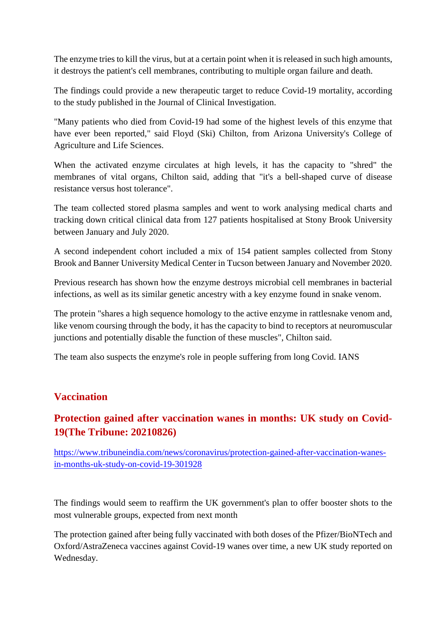The enzyme tries to kill the virus, but at a certain point when it is released in such high amounts, it destroys the patient's cell membranes, contributing to multiple organ failure and death.

The findings could provide a new therapeutic target to reduce Covid-19 mortality, according to the study published in the Journal of Clinical Investigation.

"Many patients who died from Covid-19 had some of the highest levels of this enzyme that have ever been reported," said Floyd (Ski) Chilton, from Arizona University's College of Agriculture and Life Sciences.

When the activated enzyme circulates at high levels, it has the capacity to "shred" the membranes of vital organs, Chilton said, adding that "it's a bell-shaped curve of disease resistance versus host tolerance".

The team collected stored plasma samples and went to work analysing medical charts and tracking down critical clinical data from 127 patients hospitalised at Stony Brook University between January and July 2020.

A second independent cohort included a mix of 154 patient samples collected from Stony Brook and Banner University Medical Center in Tucson between January and November 2020.

Previous research has shown how the enzyme destroys microbial cell membranes in bacterial infections, as well as its similar genetic ancestry with a key enzyme found in snake venom.

The protein "shares a high sequence homology to the active enzyme in rattlesnake venom and, like venom coursing through the body, it has the capacity to bind to receptors at neuromuscular junctions and potentially disable the function of these muscles", Chilton said.

The team also suspects the enzyme's role in people suffering from long Covid. IANS

#### **Vaccination**

# **Protection gained after vaccination wanes in months: UK study on Covid-19(The Tribune: 20210826)**

https://www.tribuneindia.com/news/coronavirus/protection-gained-after-vaccination-wanesin-months-uk-study-on-covid-19-301928

The findings would seem to reaffirm the UK government's plan to offer booster shots to the most vulnerable groups, expected from next month

The protection gained after being fully vaccinated with both doses of the Pfizer/BioNTech and Oxford/AstraZeneca vaccines against Covid-19 wanes over time, a new UK study reported on Wednesday.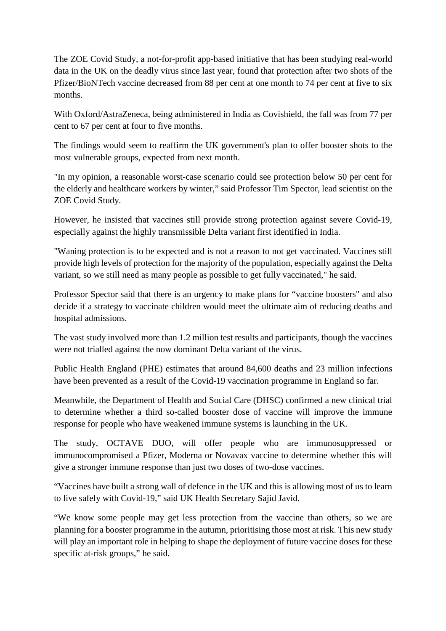The ZOE Covid Study, a not-for-profit app-based initiative that has been studying real-world data in the UK on the deadly virus since last year, found that protection after two shots of the Pfizer/BioNTech vaccine decreased from 88 per cent at one month to 74 per cent at five to six months.

With Oxford/AstraZeneca, being administered in India as Covishield, the fall was from 77 per cent to 67 per cent at four to five months.

The findings would seem to reaffirm the UK government's plan to offer booster shots to the most vulnerable groups, expected from next month.

"In my opinion, a reasonable worst-case scenario could see protection below 50 per cent for the elderly and healthcare workers by winter," said Professor Tim Spector, lead scientist on the ZOE Covid Study.

However, he insisted that vaccines still provide strong protection against severe Covid-19, especially against the highly transmissible Delta variant first identified in India.

"Waning protection is to be expected and is not a reason to not get vaccinated. Vaccines still provide high levels of protection for the majority of the population, especially against the Delta variant, so we still need as many people as possible to get fully vaccinated," he said.

Professor Spector said that there is an urgency to make plans for "vaccine boosters" and also decide if a strategy to vaccinate children would meet the ultimate aim of reducing deaths and hospital admissions.

The vast study involved more than 1.2 million test results and participants, though the vaccines were not trialled against the now dominant Delta variant of the virus.

Public Health England (PHE) estimates that around 84,600 deaths and 23 million infections have been prevented as a result of the Covid-19 vaccination programme in England so far.

Meanwhile, the Department of Health and Social Care (DHSC) confirmed a new clinical trial to determine whether a third so-called booster dose of vaccine will improve the immune response for people who have weakened immune systems is launching in the UK.

The study, OCTAVE DUO, will offer people who are immunosuppressed or immunocompromised a Pfizer, Moderna or Novavax vaccine to determine whether this will give a stronger immune response than just two doses of two-dose vaccines.

"Vaccines have built a strong wall of defence in the UK and this is allowing most of us to learn to live safely with Covid-19," said UK Health Secretary Sajid Javid.

"We know some people may get less protection from the vaccine than others, so we are planning for a booster programme in the autumn, prioritising those most at risk. This new study will play an important role in helping to shape the deployment of future vaccine doses for these specific at-risk groups," he said.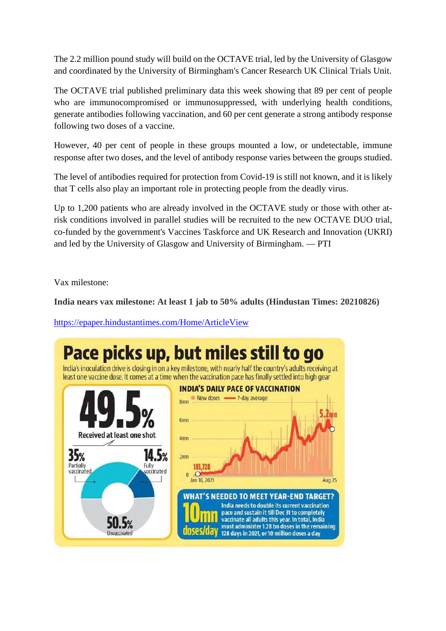The 2.2 million pound study will build on the OCTAVE trial, led by the University of Glasgow and coordinated by the University of Birmingham's Cancer Research UK Clinical Trials Unit.

The OCTAVE trial published preliminary data this week showing that 89 per cent of people who are immunocompromised or immunosuppressed, with underlying health conditions, generate antibodies following vaccination, and 60 per cent generate a strong antibody response following two doses of a vaccine.

However, 40 per cent of people in these groups mounted a low, or undetectable, immune response after two doses, and the level of antibody response varies between the groups studied.

The level of antibodies required for protection from Covid-19 is still not known, and it is likely that T cells also play an important role in protecting people from the deadly virus.

Up to 1,200 patients who are already involved in the OCTAVE study or those with other atrisk conditions involved in parallel studies will be recruited to the new OCTAVE DUO trial, co-funded by the government's Vaccines Taskforce and UK Research and Innovation (UKRI) and led by the University of Glasgow and University of Birmingham. — PTI

Vax milestone:

**India nears vax milestone: At least 1 jab to 50% adults (Hindustan Times: 20210826)**

https://epaper.hindustantimes.com/Home/ArticleView

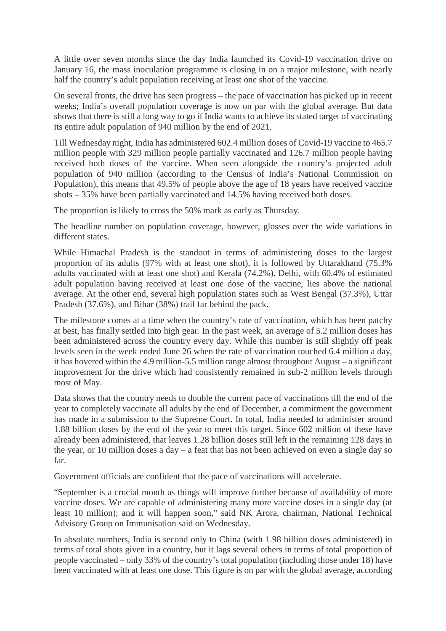A little over seven months since the day India launched its Covid-19 vaccination drive on January 16, the mass inoculation programme is closing in on a major milestone, with nearly half the country's adult population receiving at least one shot of the vaccine.

On several fronts, the drive has seen progress – the pace of vaccination has picked up in recent weeks; India's overall population coverage is now on par with the global average. But data shows that there is still a long way to go if India wants to achieve its stated target of vaccinating its entire adult population of 940 million by the end of 2021.

Till Wednesday night, India has administered 602.4 million doses of Covid-19 vaccine to 465.7 million people with 329 million people partially vaccinated and 126.7 million people having received both doses of the vaccine. When seen alongside the country's projected adult population of 940 million (according to the Census of India's National Commission on Population), this means that 49.5% of people above the age of 18 years have received vaccine shots – 35% have been partially vaccinated and 14.5% having received both doses.

The proportion is likely to cross the 50% mark as early as Thursday.

The headline number on population coverage, however, glosses over the wide variations in different states.

While Himachal Pradesh is the standout in terms of administering doses to the largest proportion of its adults (97% with at least one shot), it is followed by Uttarakhand (75.3% adults vaccinated with at least one shot) and Kerala (74.2%). Delhi, with 60.4% of estimated adult population having received at least one dose of the vaccine, lies above the national average. At the other end, several high population states such as West Bengal (37.3%), Uttar Pradesh (37.6%), and Bihar (38%) trail far behind the pack.

The milestone comes at a time when the country's rate of vaccination, which has been patchy at best, has finally settled into high gear. In the past week, an average of 5.2 million doses has been administered across the country every day. While this number is still slightly off peak levels seen in the week ended June 26 when the rate of vaccination touched 6.4 million a day, it has hovered within the 4.9 million-5.5 million range almost throughout August – a significant improvement for the drive which had consistently remained in sub-2 million levels through most of May.

Data shows that the country needs to double the current pace of vaccinations till the end of the year to completely vaccinate all adults by the end of December, a commitment the government has made in a submission to the Supreme Court. In total, India needed to administer around 1.88 billion doses by the end of the year to meet this target. Since 602 million of these have already been administered, that leaves 1.28 billion doses still left in the remaining 128 days in the year, or 10 million doses a day – a feat that has not been achieved on even a single day so far.

Government officials are confident that the pace of vaccinations will accelerate.

"September is a crucial month as things will improve further because of availability of more vaccine doses. We are capable of administering many more vaccine doses in a single day (at least 10 million); and it will happen soon," said NK Arora, chairman, National Technical Advisory Group on Immunisation said on Wednesday.

In absolute numbers, India is second only to China (with 1.98 billion doses administered) in terms of total shots given in a country, but it lags several others in terms of total proportion of people vaccinated – only 33% of the country's total population (including those under 18) have been vaccinated with at least one dose. This figure is on par with the global average, according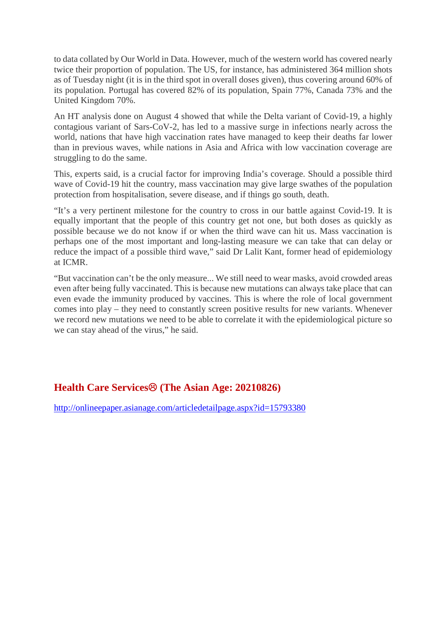to data collated by Our World in Data. However, much of the western world has covered nearly twice their proportion of population. The US, for instance, has administered 364 million shots as of Tuesday night (it is in the third spot in overall doses given), thus covering around 60% of its population. Portugal has covered 82% of its population, Spain 77%, Canada 73% and the United Kingdom 70%.

An HT analysis done on August 4 showed that while the Delta variant of Covid-19, a highly contagious variant of Sars-CoV-2, has led to a massive surge in infections nearly across the world, nations that have high vaccination rates have managed to keep their deaths far lower than in previous waves, while nations in Asia and Africa with low vaccination coverage are struggling to do the same.

This, experts said, is a crucial factor for improving India's coverage. Should a possible third wave of Covid-19 hit the country, mass vaccination may give large swathes of the population protection from hospitalisation, severe disease, and if things go south, death.

"It's a very pertinent milestone for the country to cross in our battle against Covid-19. It is equally important that the people of this country get not one, but both doses as quickly as possible because we do not know if or when the third wave can hit us. Mass vaccination is perhaps one of the most important and long-lasting measure we can take that can delay or reduce the impact of a possible third wave," said Dr Lalit Kant, former head of epidemiology at ICMR.

"But vaccination can't be the only measure... We still need to wear masks, avoid crowded areas even after being fully vaccinated. This is because new mutations can always take place that can even evade the immunity produced by vaccines. This is where the role of local government comes into play – they need to constantly screen positive results for new variants. Whenever we record new mutations we need to be able to correlate it with the epidemiological picture so we can stay ahead of the virus," he said.

# **Health Care Services<sup><sup>®</sup> (The Asian Age: 20210826)**</sup>

http://onlineepaper.asianage.com/articledetailpage.aspx?id=15793380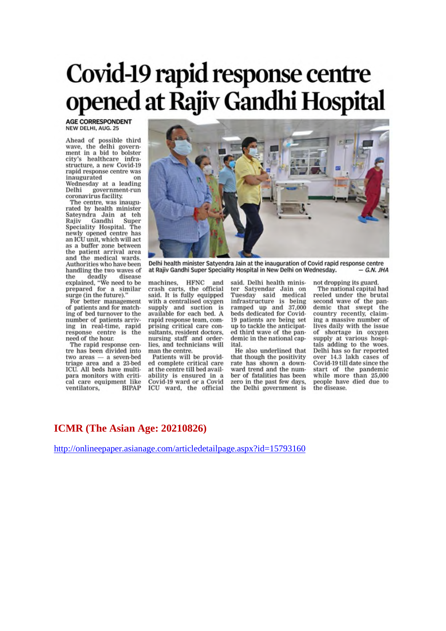# Covid-19 rapid response centre opened at Rajiv Gandhi Hospital

**AGE CORRESPONDENT** NEW DELHI, AUG. 25

Ahead of possible third<br>wave, the delhi government in a bid to bolster city's healthcare infra-<br>structure, a new Covid-19 rapid response centre was inaugurated on Wednesday at a leading Delhi government-run<br>coronavirus facility.

The centre, was inaugu-<br>rated by health minister Sateyndra Jain at teh<br>Rajiv Gandhi Super Speciality Hospital. The<br>newly opened centre has an ICU unit, which will act as a buffer zone between the patient arrival area and the medical wards. Authorities who have been handling the two waves of Handling the two waves on<br>the deadly disease<br>explained, "We need to be<br>prepared for a similar<br>surge (in the future)."<br>For better management

of patients and for matching of bed turnover to the number of patients arriving in real-time, rapid response centre is the need of the hour.

The rapid response centre has been divided into two areas — a seven-bed<br>triage area and a 23-bed ICU. All beds have multipara monitors with critical care equipment like ventilators. **BIPAP** 



Delhi health minister Satyendra Jain at the inauguration of Covid rapid response centre at Rajiv Gandhi Super Speciality Hospital in New Delhi on Wednesday.  $-GN$  IHA

machines, HFNC and crash carts, the official crash carts, the official<br>said. It is fully equipped sam: It is tany equipped<br>with a centralised oxygen<br>supply and suction is<br>available for each bed. A rapid response team, comprising critical care consultants, resident doctors, nursing staff and orderlies, and technicians will man the centre.

Patients will be provided complete critical care at the centre till bed availability is ensured in a<br>Covid-19 ward or a Covid ICU ward, the official

said. Delhi health minister Satyendar Jain on Tuesday said medical infrastructure is being<br>ramped up and 37,000<br>beds dedicated for Covid-19 patients are being set up to tackle the anticipated third wave of the pandemic in the national capital.

He also underlined that that though the positivity rate has shown a downward trend and the number of fatalities has been zero in the past few days. the Delhi government is

not dropping its guard. The national capital had reeled under the brutal second wave of the pandemic that swept the country recently, claiming a massive number of lives daily with the issue of shortage in oxygen supply at various hospitals adding to the woes. Delhi has so far reported<br>over 14.3 lakh cases of<br>Covid-19 till date since the start of the pandemic<br>while more than 25,000<br>people have died due to azeazib adj

#### **ICMR (The Asian Age: 20210826)**

http://onlineepaper.asianage.com/articledetailpage.aspx?id=15793160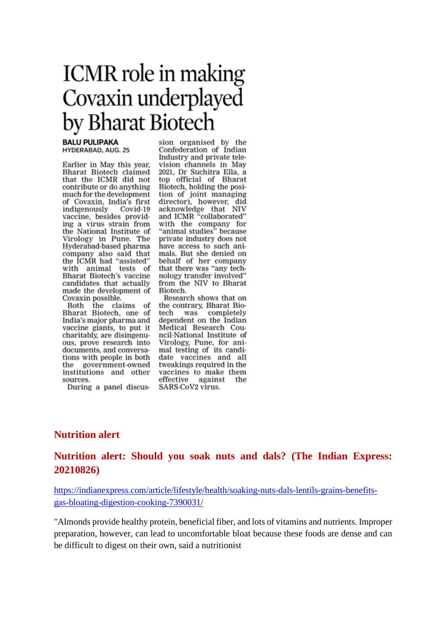# **ICMR** role in making Covaxin underplayed by Bharat Biotech

#### **BALU PULIPAKA** HYDERABAD, AUG. 25

Earlier in May this year, Bharat Biotech claimed that the ICMR did not contribute or do anything much for the development of Covaxin, India's first indigenously Covid-19 vaccine, besides providing a virus strain from the National Institute of Une National Institute of<br>Virology in Pune. The<br>Hyderabad-based pharma company also said that the ICMR had "assisted"<br>with animal tests of Bharat Biotech's vaccine candidates that actually made the development of Covaxin possible.

Both the claims of Bharat Biotech, one of India's major pharma and vaccine giants, to put it charitably, are disingenuous, prove research into documents, and conversations with people in both the government-owned institutions and other sources.

During a panel discus-

sion organised by the Confederation of Indian Industry and private television channels in May 2021, Dr Suchitra Ella, a top official of Bharat Biotech, holding the posi-Botech, hotaing the post-<br>tion of joint managing<br>director), however, did<br>acknowledge that NIV and ICMR "collaborated" with the company for<br>"animal studies" because private industry does not have access to such animals. But she denied on behalf of her company that there was "any technology transfer involved" from the NIV to Bharat Biotech.

Research shows that on the contrary, Bharat Biotech was completely dependent on the Indian Medical Research Council-National Institute of Virology, Pune, for animal testing of its candidate vaccines and all tweakings required in the vaccines to make them effective against the SARS-CoV2 virus.

#### **Nutrition alert**

# **Nutrition alert: Should you soak nuts and dals? (The Indian Express: 20210826)**

https://indianexpress.com/article/lifestyle/health/soaking-nuts-dals-lentils-grains-benefitsgas-bloating-digestion-cooking-7390031/

"Almonds provide healthy protein, beneficial fiber, and lots of vitamins and nutrients. Improper preparation, however, can lead to uncomfortable bloat because these foods are dense and can be difficult to digest on their own, said a nutritionist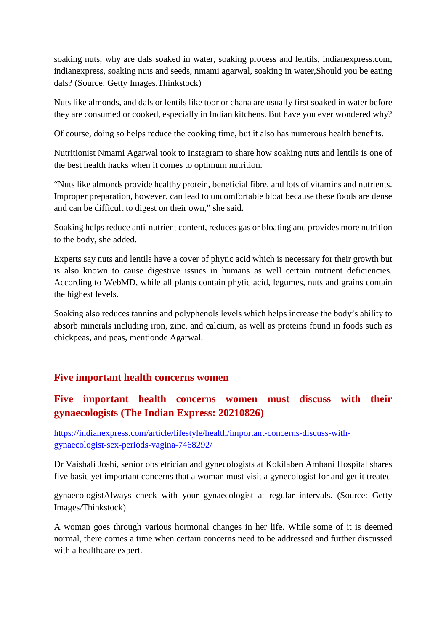soaking nuts, why are dals soaked in water, soaking process and lentils, indianexpress.com, indianexpress, soaking nuts and seeds, nmami agarwal, soaking in water,Should you be eating dals? (Source: Getty Images.Thinkstock)

Nuts like almonds, and dals or lentils like toor or chana are usually first soaked in water before they are consumed or cooked, especially in Indian kitchens. But have you ever wondered why?

Of course, doing so helps reduce the cooking time, but it also has numerous health benefits.

Nutritionist Nmami Agarwal took to Instagram to share how soaking nuts and lentils is one of the best health hacks when it comes to optimum nutrition.

"Nuts like almonds provide healthy protein, beneficial fibre, and lots of vitamins and nutrients. Improper preparation, however, can lead to uncomfortable bloat because these foods are dense and can be difficult to digest on their own," she said.

Soaking helps reduce anti-nutrient content, reduces gas or bloating and provides more nutrition to the body, she added.

Experts say nuts and lentils have a cover of phytic acid which is necessary for their growth but is also known to cause digestive issues in humans as well certain nutrient deficiencies. According to WebMD, while all plants contain phytic acid, legumes, nuts and grains contain the highest levels.

Soaking also reduces tannins and polyphenols levels which helps increase the body's ability to absorb minerals including iron, zinc, and calcium, as well as proteins found in foods such as chickpeas, and peas, mentionde Agarwal.

#### **Five important health concerns women**

# **Five important health concerns women must discuss with their gynaecologists (The Indian Express: 20210826)**

https://indianexpress.com/article/lifestyle/health/important-concerns-discuss-withgynaecologist-sex-periods-vagina-7468292/

Dr Vaishali Joshi, senior obstetrician and gynecologists at Kokilaben Ambani Hospital shares five basic yet important concerns that a woman must visit a gynecologist for and get it treated

gynaecologistAlways check with your gynaecologist at regular intervals. (Source: Getty Images/Thinkstock)

A woman goes through various hormonal changes in her life. While some of it is deemed normal, there comes a time when certain concerns need to be addressed and further discussed with a healthcare expert.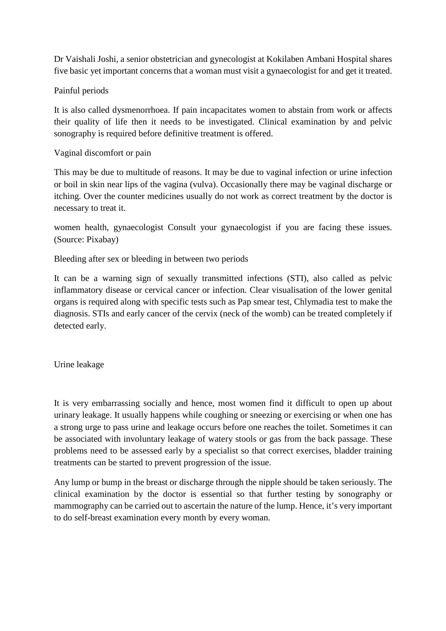Dr Vaishali Joshi, a senior obstetrician and gynecologist at Kokilaben Ambani Hospital shares five basic yet important concerns that a woman must visit a gynaecologist for and get it treated.

Painful periods

It is also called dysmenorrhoea. If pain incapacitates women to abstain from work or affects their quality of life then it needs to be investigated. Clinical examination by and pelvic sonography is required before definitive treatment is offered.

Vaginal discomfort or pain

This may be due to multitude of reasons. It may be due to vaginal infection or urine infection or boil in skin near lips of the vagina (vulva). Occasionally there may be vaginal discharge or itching. Over the counter medicines usually do not work as correct treatment by the doctor is necessary to treat it.

women health, gynaecologist Consult your gynaecologist if you are facing these issues. (Source: Pixabay)

Bleeding after sex or bleeding in between two periods

It can be a warning sign of sexually transmitted infections (STI), also called as pelvic inflammatory disease or cervical cancer or infection. Clear visualisation of the lower genital organs is required along with specific tests such as Pap smear test, Chlymadia test to make the diagnosis. STIs and early cancer of the cervix (neck of the womb) can be treated completely if detected early.

Urine leakage

It is very embarrassing socially and hence, most women find it difficult to open up about urinary leakage. It usually happens while coughing or sneezing or exercising or when one has a strong urge to pass urine and leakage occurs before one reaches the toilet. Sometimes it can be associated with involuntary leakage of watery stools or gas from the back passage. These problems need to be assessed early by a specialist so that correct exercises, bladder training treatments can be started to prevent progression of the issue.

Any lump or bump in the breast or discharge through the nipple should be taken seriously. The clinical examination by the doctor is essential so that further testing by sonography or mammography can be carried out to ascertain the nature of the lump. Hence, it's very important to do self-breast examination every month by every woman.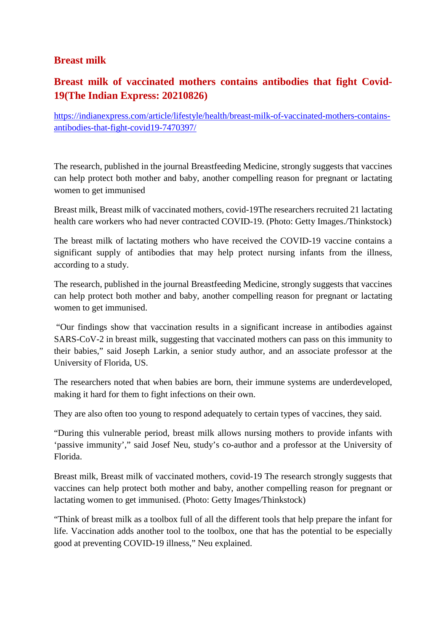### **Breast milk**

# **Breast milk of vaccinated mothers contains antibodies that fight Covid-19(The Indian Express: 20210826)**

https://indianexpress.com/article/lifestyle/health/breast-milk-of-vaccinated-mothers-containsantibodies-that-fight-covid19-7470397/

The research, published in the journal Breastfeeding Medicine, strongly suggests that vaccines can help protect both mother and baby, another compelling reason for pregnant or lactating women to get immunised

Breast milk, Breast milk of vaccinated mothers, covid-19The researchers recruited 21 lactating health care workers who had never contracted COVID-19. (Photo: Getty Images./Thinkstock)

The breast milk of lactating mothers who have received the COVID-19 vaccine contains a significant supply of antibodies that may help protect nursing infants from the illness, according to a study.

The research, published in the journal Breastfeeding Medicine, strongly suggests that vaccines can help protect both mother and baby, another compelling reason for pregnant or lactating women to get immunised.

"Our findings show that vaccination results in a significant increase in antibodies against SARS-CoV-2 in breast milk, suggesting that vaccinated mothers can pass on this immunity to their babies," said Joseph Larkin, a senior study author, and an associate professor at the University of Florida, US.

The researchers noted that when babies are born, their immune systems are underdeveloped, making it hard for them to fight infections on their own.

They are also often too young to respond adequately to certain types of vaccines, they said.

"During this vulnerable period, breast milk allows nursing mothers to provide infants with 'passive immunity'," said Josef Neu, study's co-author and a professor at the University of Florida.

Breast milk, Breast milk of vaccinated mothers, covid-19 The research strongly suggests that vaccines can help protect both mother and baby, another compelling reason for pregnant or lactating women to get immunised. (Photo: Getty Images/Thinkstock)

"Think of breast milk as a toolbox full of all the different tools that help prepare the infant for life. Vaccination adds another tool to the toolbox, one that has the potential to be especially good at preventing COVID-19 illness," Neu explained.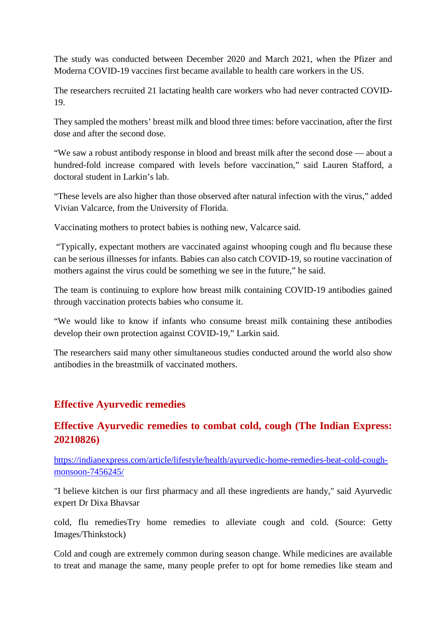The study was conducted between December 2020 and March 2021, when the Pfizer and Moderna COVID-19 vaccines first became available to health care workers in the US.

The researchers recruited 21 lactating health care workers who had never contracted COVID-19.

They sampled the mothers' breast milk and blood three times: before vaccination, after the first dose and after the second dose.

"We saw a robust antibody response in blood and breast milk after the second dose — about a hundred-fold increase compared with levels before vaccination," said Lauren Stafford, a doctoral student in Larkin's lab.

"These levels are also higher than those observed after natural infection with the virus," added Vivian Valcarce, from the University of Florida.

Vaccinating mothers to protect babies is nothing new, Valcarce said.

"Typically, expectant mothers are vaccinated against whooping cough and flu because these can be serious illnesses for infants. Babies can also catch COVID-19, so routine vaccination of mothers against the virus could be something we see in the future," he said.

The team is continuing to explore how breast milk containing COVID-19 antibodies gained through vaccination protects babies who consume it.

"We would like to know if infants who consume breast milk containing these antibodies develop their own protection against COVID-19," Larkin said.

The researchers said many other simultaneous studies conducted around the world also show antibodies in the breastmilk of vaccinated mothers.

#### **Effective Ayurvedic remedies**

# **Effective Ayurvedic remedies to combat cold, cough (The Indian Express: 20210826)**

https://indianexpress.com/article/lifestyle/health/ayurvedic-home-remedies-beat-cold-coughmonsoon-7456245/

"I believe kitchen is our first pharmacy and all these ingredients are handy," said Ayurvedic expert Dr Dixa Bhavsar

cold, flu remediesTry home remedies to alleviate cough and cold. (Source: Getty Images/Thinkstock)

Cold and cough are extremely common during season change. While medicines are available to treat and manage the same, many people prefer to opt for home remedies like steam and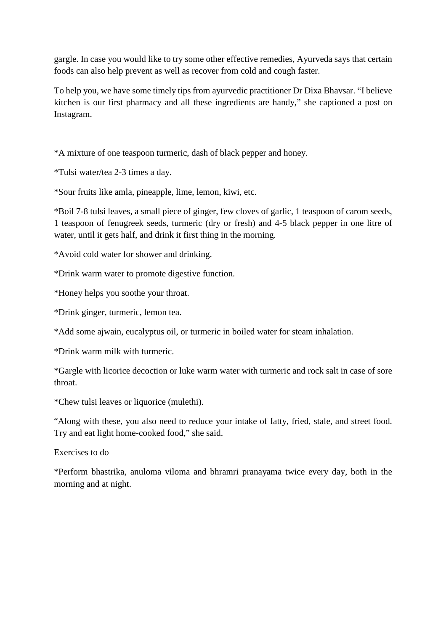gargle. In case you would like to try some other effective remedies, Ayurveda says that certain foods can also help prevent as well as recover from cold and cough faster.

To help you, we have some timely tips from ayurvedic practitioner Dr Dixa Bhavsar. "I believe kitchen is our first pharmacy and all these ingredients are handy," she captioned a post on Instagram.

\*A mixture of one teaspoon turmeric, dash of black pepper and honey.

\*Tulsi water/tea 2-3 times a day.

\*Sour fruits like amla, pineapple, lime, lemon, kiwi, etc.

\*Boil 7-8 tulsi leaves, a small piece of ginger, few cloves of garlic, 1 teaspoon of carom seeds, 1 teaspoon of fenugreek seeds, turmeric (dry or fresh) and 4-5 black pepper in one litre of water, until it gets half, and drink it first thing in the morning.

\*Avoid cold water for shower and drinking.

\*Drink warm water to promote digestive function.

\*Honey helps you soothe your throat.

\*Drink ginger, turmeric, lemon tea.

\*Add some ajwain, eucalyptus oil, or turmeric in boiled water for steam inhalation.

\*Drink warm milk with turmeric.

\*Gargle with licorice decoction or luke warm water with turmeric and rock salt in case of sore throat.

\*Chew tulsi leaves or liquorice (mulethi).

"Along with these, you also need to reduce your intake of fatty, fried, stale, and street food. Try and eat light home-cooked food," she said.

Exercises to do

\*Perform bhastrika, anuloma viloma and bhramri pranayama twice every day, both in the morning and at night.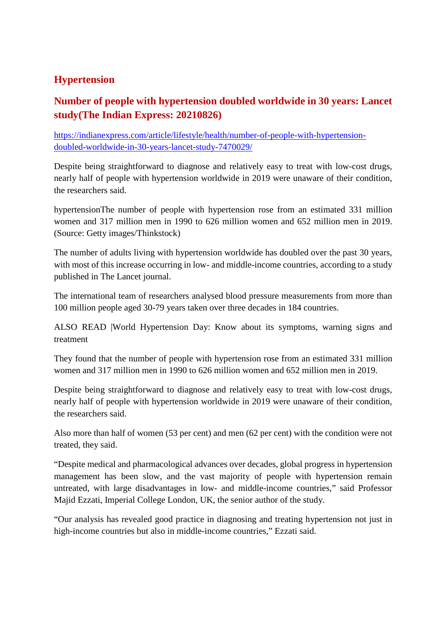# **Hypertension**

# **Number of people with hypertension doubled worldwide in 30 years: Lancet study(The Indian Express: 20210826)**

https://indianexpress.com/article/lifestyle/health/number-of-people-with-hypertensiondoubled-worldwide-in-30-years-lancet-study-7470029/

Despite being straightforward to diagnose and relatively easy to treat with low-cost drugs, nearly half of people with hypertension worldwide in 2019 were unaware of their condition, the researchers said.

hypertensionThe number of people with hypertension rose from an estimated 331 million women and 317 million men in 1990 to 626 million women and 652 million men in 2019. (Source: Getty images/Thinkstock)

The number of adults living with hypertension worldwide has doubled over the past 30 years, with most of this increase occurring in low- and middle-income countries, according to a study published in The Lancet journal.

The international team of researchers analysed blood pressure measurements from more than 100 million people aged 30-79 years taken over three decades in 184 countries.

ALSO READ |World Hypertension Day: Know about its symptoms, warning signs and treatment

They found that the number of people with hypertension rose from an estimated 331 million women and 317 million men in 1990 to 626 million women and 652 million men in 2019.

Despite being straightforward to diagnose and relatively easy to treat with low-cost drugs, nearly half of people with hypertension worldwide in 2019 were unaware of their condition, the researchers said.

Also more than half of women (53 per cent) and men (62 per cent) with the condition were not treated, they said.

"Despite medical and pharmacological advances over decades, global progress in hypertension management has been slow, and the vast majority of people with hypertension remain untreated, with large disadvantages in low- and middle-income countries," said Professor Majid Ezzati, Imperial College London, UK, the senior author of the study.

"Our analysis has revealed good practice in diagnosing and treating hypertension not just in high-income countries but also in middle-income countries," Ezzati said.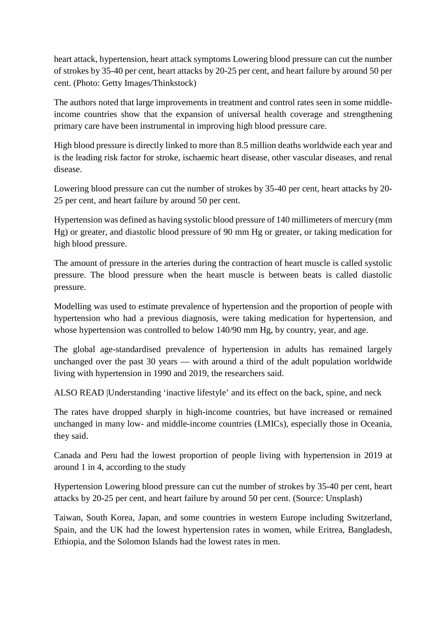heart attack, hypertension, heart attack symptoms Lowering blood pressure can cut the number of strokes by 35-40 per cent, heart attacks by 20-25 per cent, and heart failure by around 50 per cent. (Photo: Getty Images/Thinkstock)

The authors noted that large improvements in treatment and control rates seen in some middleincome countries show that the expansion of universal health coverage and strengthening primary care have been instrumental in improving high blood pressure care.

High blood pressure is directly linked to more than 8.5 million deaths worldwide each year and is the leading risk factor for stroke, ischaemic heart disease, other vascular diseases, and renal disease.

Lowering blood pressure can cut the number of strokes by 35-40 per cent, heart attacks by 20- 25 per cent, and heart failure by around 50 per cent.

Hypertension was defined as having systolic blood pressure of 140 millimeters of mercury (mm Hg) or greater, and diastolic blood pressure of 90 mm Hg or greater, or taking medication for high blood pressure.

The amount of pressure in the arteries during the contraction of heart muscle is called systolic pressure. The blood pressure when the heart muscle is between beats is called diastolic pressure.

Modelling was used to estimate prevalence of hypertension and the proportion of people with hypertension who had a previous diagnosis, were taking medication for hypertension, and whose hypertension was controlled to below 140/90 mm Hg, by country, year, and age.

The global age-standardised prevalence of hypertension in adults has remained largely unchanged over the past 30 years — with around a third of the adult population worldwide living with hypertension in 1990 and 2019, the researchers said.

ALSO READ |Understanding 'inactive lifestyle' and its effect on the back, spine, and neck

The rates have dropped sharply in high-income countries, but have increased or remained unchanged in many low- and middle-income countries (LMICs), especially those in Oceania, they said.

Canada and Peru had the lowest proportion of people living with hypertension in 2019 at around 1 in 4, according to the study

Hypertension Lowering blood pressure can cut the number of strokes by 35-40 per cent, heart attacks by 20-25 per cent, and heart failure by around 50 per cent. (Source: Unsplash)

Taiwan, South Korea, Japan, and some countries in western Europe including Switzerland, Spain, and the UK had the lowest hypertension rates in women, while Eritrea, Bangladesh, Ethiopia, and the Solomon Islands had the lowest rates in men.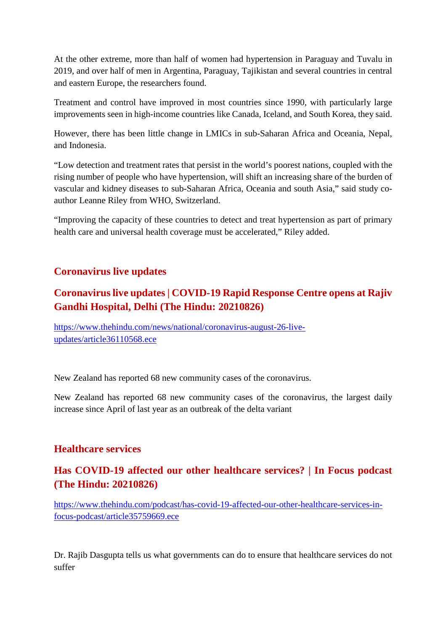At the other extreme, more than half of women had hypertension in Paraguay and Tuvalu in 2019, and over half of men in Argentina, Paraguay, Tajikistan and several countries in central and eastern Europe, the researchers found.

Treatment and control have improved in most countries since 1990, with particularly large improvements seen in high-income countries like Canada, Iceland, and South Korea, they said.

However, there has been little change in LMICs in sub-Saharan Africa and Oceania, Nepal, and Indonesia.

"Low detection and treatment rates that persist in the world's poorest nations, coupled with the rising number of people who have hypertension, will shift an increasing share of the burden of vascular and kidney diseases to sub-Saharan Africa, Oceania and south Asia," said study coauthor Leanne Riley from WHO, Switzerland.

"Improving the capacity of these countries to detect and treat hypertension as part of primary health care and universal health coverage must be accelerated," Riley added.

### **Coronavirus live updates**

# **Coronavirus live updates | COVID-19 Rapid Response Centre opens at Rajiv Gandhi Hospital, Delhi (The Hindu: 20210826)**

https://www.thehindu.com/news/national/coronavirus-august-26-liveupdates/article36110568.ece

New Zealand has reported 68 new community cases of the coronavirus.

New Zealand has reported 68 new community cases of the coronavirus, the largest daily increase since April of last year as an outbreak of the delta variant

#### **Healthcare services**

# **Has COVID-19 affected our other healthcare services? | In Focus podcast (The Hindu: 20210826)**

https://www.thehindu.com/podcast/has-covid-19-affected-our-other-healthcare-services-infocus-podcast/article35759669.ece

Dr. Rajib Dasgupta tells us what governments can do to ensure that healthcare services do not suffer